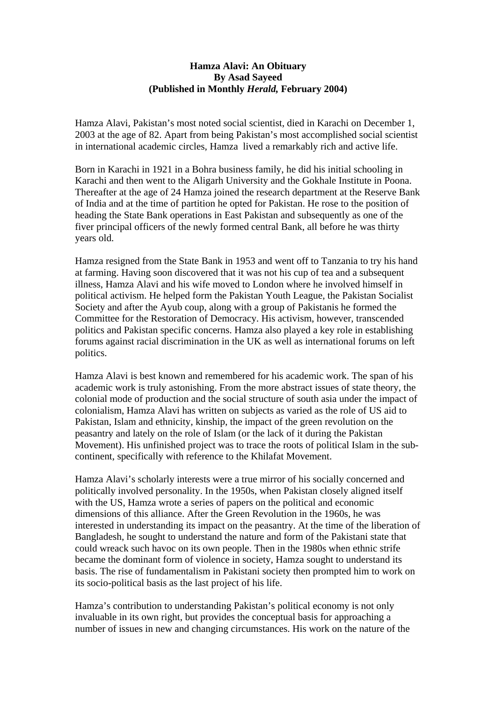## **Hamza Alavi: An Obituary By Asad Sayeed (Published in Monthly** *Herald,* **February 2004)**

Hamza Alavi, Pakistan's most noted social scientist, died in Karachi on December 1, 2003 at the age of 82. Apart from being Pakistan's most accomplished social scientist in international academic circles, Hamza lived a remarkably rich and active life.

Born in Karachi in 1921 in a Bohra business family, he did his initial schooling in Karachi and then went to the Aligarh University and the Gokhale Institute in Poona. Thereafter at the age of 24 Hamza joined the research department at the Reserve Bank of India and at the time of partition he opted for Pakistan. He rose to the position of heading the State Bank operations in East Pakistan and subsequently as one of the fiver principal officers of the newly formed central Bank, all before he was thirty years old.

Hamza resigned from the State Bank in 1953 and went off to Tanzania to try his hand at farming. Having soon discovered that it was not his cup of tea and a subsequent illness, Hamza Alavi and his wife moved to London where he involved himself in political activism. He helped form the Pakistan Youth League, the Pakistan Socialist Society and after the Ayub coup, along with a group of Pakistanis he formed the Committee for the Restoration of Democracy. His activism, however, transcended politics and Pakistan specific concerns. Hamza also played a key role in establishing forums against racial discrimination in the UK as well as international forums on left politics.

Hamza Alavi is best known and remembered for his academic work. The span of his academic work is truly astonishing. From the more abstract issues of state theory, the colonial mode of production and the social structure of south asia under the impact of colonialism, Hamza Alavi has written on subjects as varied as the role of US aid to Pakistan, Islam and ethnicity, kinship, the impact of the green revolution on the peasantry and lately on the role of Islam (or the lack of it during the Pakistan Movement). His unfinished project was to trace the roots of political Islam in the subcontinent, specifically with reference to the Khilafat Movement.

Hamza Alavi's scholarly interests were a true mirror of his socially concerned and politically involved personality. In the 1950s, when Pakistan closely aligned itself with the US, Hamza wrote a series of papers on the political and economic dimensions of this alliance. After the Green Revolution in the 1960s, he was interested in understanding its impact on the peasantry. At the time of the liberation of Bangladesh, he sought to understand the nature and form of the Pakistani state that could wreack such havoc on its own people. Then in the 1980s when ethnic strife became the dominant form of violence in society, Hamza sought to understand its basis. The rise of fundamentalism in Pakistani society then prompted him to work on its socio-political basis as the last project of his life.

Hamza's contribution to understanding Pakistan's political economy is not only invaluable in its own right, but provides the conceptual basis for approaching a number of issues in new and changing circumstances. His work on the nature of the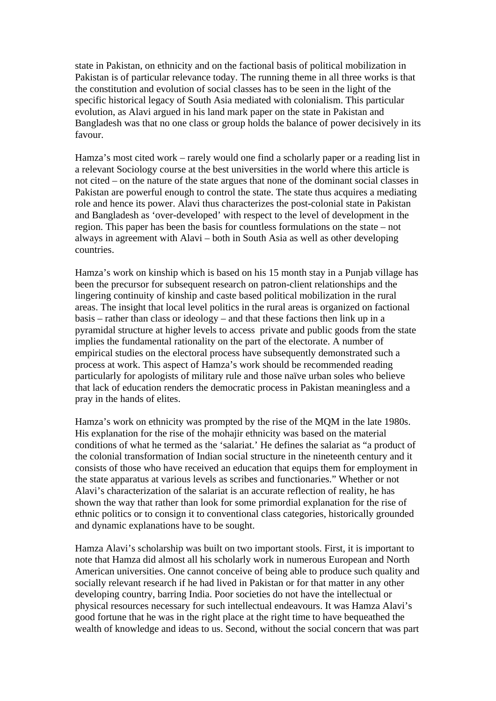state in Pakistan, on ethnicity and on the factional basis of political mobilization in Pakistan is of particular relevance today. The running theme in all three works is that the constitution and evolution of social classes has to be seen in the light of the specific historical legacy of South Asia mediated with colonialism. This particular evolution, as Alavi argued in his land mark paper on the state in Pakistan and Bangladesh was that no one class or group holds the balance of power decisively in its favour.

Hamza's most cited work – rarely would one find a scholarly paper or a reading list in a relevant Sociology course at the best universities in the world where this article is not cited – on the nature of the state argues that none of the dominant social classes in Pakistan are powerful enough to control the state. The state thus acquires a mediating role and hence its power. Alavi thus characterizes the post-colonial state in Pakistan and Bangladesh as 'over-developed' with respect to the level of development in the region. This paper has been the basis for countless formulations on the state – not always in agreement with Alavi – both in South Asia as well as other developing countries.

Hamza's work on kinship which is based on his 15 month stay in a Punjab village has been the precursor for subsequent research on patron-client relationships and the lingering continuity of kinship and caste based political mobilization in the rural areas. The insight that local level politics in the rural areas is organized on factional basis – rather than class or ideology – and that these factions then link up in a pyramidal structure at higher levels to access private and public goods from the state implies the fundamental rationality on the part of the electorate. A number of empirical studies on the electoral process have subsequently demonstrated such a process at work. This aspect of Hamza's work should be recommended reading particularly for apologists of military rule and those naïve urban soles who believe that lack of education renders the democratic process in Pakistan meaningless and a pray in the hands of elites.

Hamza's work on ethnicity was prompted by the rise of the MQM in the late 1980s. His explanation for the rise of the mohajir ethnicity was based on the material conditions of what he termed as the 'salariat.' He defines the salariat as "a product of the colonial transformation of Indian social structure in the nineteenth century and it consists of those who have received an education that equips them for employment in the state apparatus at various levels as scribes and functionaries." Whether or not Alavi's characterization of the salariat is an accurate reflection of reality, he has shown the way that rather than look for some primordial explanation for the rise of ethnic politics or to consign it to conventional class categories, historically grounded and dynamic explanations have to be sought.

Hamza Alavi's scholarship was built on two important stools. First, it is important to note that Hamza did almost all his scholarly work in numerous European and North American universities. One cannot conceive of being able to produce such quality and socially relevant research if he had lived in Pakistan or for that matter in any other developing country, barring India. Poor societies do not have the intellectual or physical resources necessary for such intellectual endeavours. It was Hamza Alavi's good fortune that he was in the right place at the right time to have bequeathed the wealth of knowledge and ideas to us. Second, without the social concern that was part